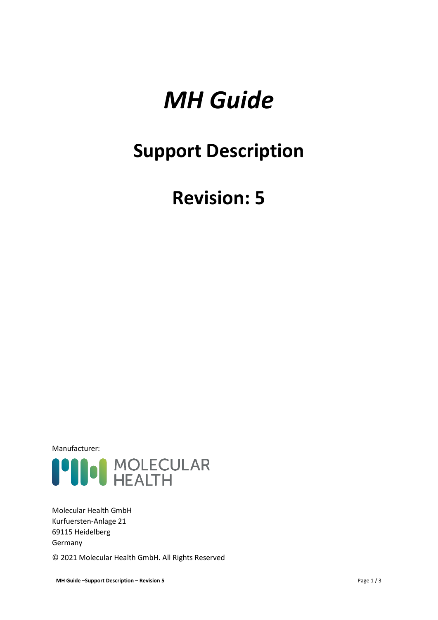# *MH Guide*

## **Support Description**

## **Revision: 5**

Manufacturer:



Molecular Health GmbH Kurfuersten-Anlage 21 69115 Heidelberg Germany

© 2021 Molecular Health GmbH. All Rights Reserved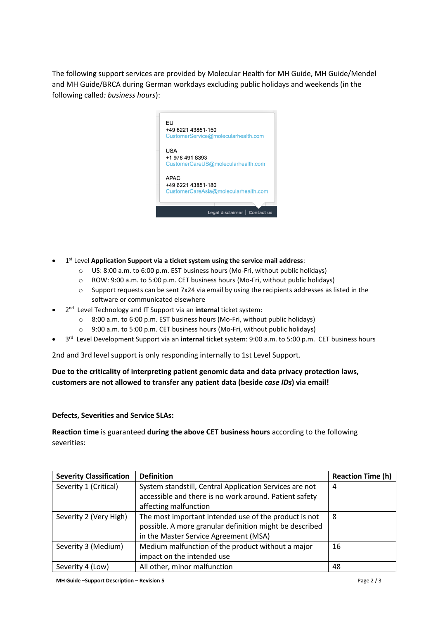The following support services are provided by Molecular Health for MH Guide, MH Guide/Mendel and MH Guide/BRCA during German workdays excluding public holidays and weekends (in the following called*: business hours*):



- 1 st Level **Application Support via a ticket system using the service mail address**:
	- $\circ$  US: 8:00 a.m. to 6:00 p.m. EST business hours (Mo-Fri, without public holidays)
	- o ROW: 9:00 a.m. to 5:00 p.m. CET business hours (Mo-Fri, without public holidays)
	- $\circ$  Support requests can be sent 7x24 via email by using the recipients addresses as listed in the software or communicated elsewhere
- 2 nd Level Technology and IT Support via an **internal** ticket system:
	- $\circ$  8:00 a.m. to 6:00 p.m. EST business hours (Mo-Fri, without public holidays)
	- o 9:00 a.m. to 5:00 p.m. CET business hours (Mo-Fri, without public holidays)
- 3 rd Level Development Support via an **internal** ticket system: 9:00 a.m. to 5:00 p.m. CET business hours

2nd and 3rd level support is only responding internally to 1st Level Support.

### **Due to the criticality of interpreting patient genomic data and data privacy protection laws, customers are not allowed to transfer any patient data (beside** *case IDs***) via email!**

#### **Defects, Severities and Service SLAs:**

**Reaction time** is guaranteed **during the above CET business hours** according to the following severities:

| <b>Severity Classification</b> | <b>Definition</b>                                       | <b>Reaction Time (h)</b> |
|--------------------------------|---------------------------------------------------------|--------------------------|
| Severity 1 (Critical)          | System standstill, Central Application Services are not | 4                        |
|                                | accessible and there is no work around. Patient safety  |                          |
|                                | affecting malfunction                                   |                          |
| Severity 2 (Very High)         | The most important intended use of the product is not   | 8                        |
|                                | possible. A more granular definition might be described |                          |
|                                | in the Master Service Agreement (MSA)                   |                          |
| Severity 3 (Medium)            | Medium malfunction of the product without a major       | 16                       |
|                                | impact on the intended use                              |                          |
| Severity 4 (Low)               | All other, minor malfunction                            | 48                       |